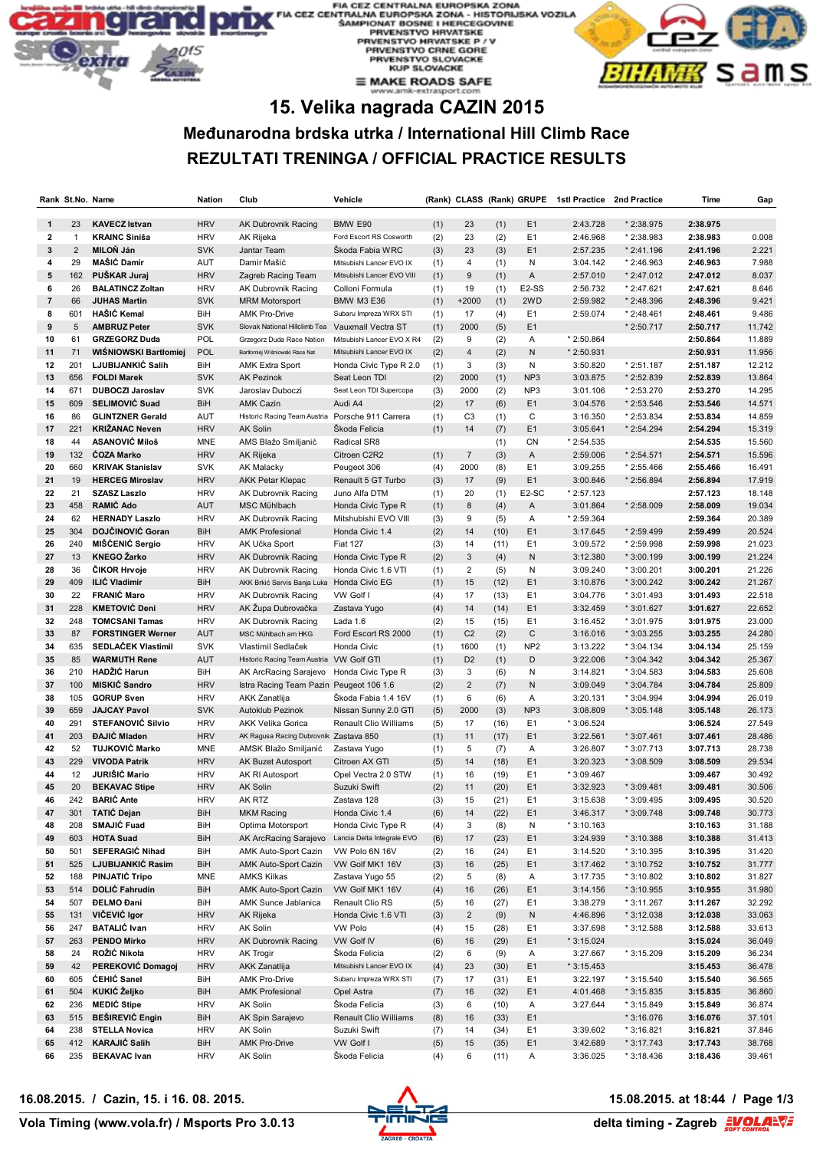#### **ROPSKA ZONA** ZONA - HISTORIJSKA VOZILA HERCEGOVINE **PRVENSTVO HRVATSKE PHYENSTYO HRYATSKE P / V<br>PRVENSTYO CRNE GORE<br>PRVENSTYO SLOVACKE<br>KUP SLOVACKE**  $\equiv$  MAKE ROADS SAFE



# **15. Velika nagrada CAZIN 2015**

## **Međunarodna brdska utrka / International Hill Climb Race REZULTATI TRENINGA / OFFICIAL PRACTICE RESULTS**

|                |                | Rank St.No. Name                                  | Nation                   | Club                                       | Vehicle                            |            |                      |              | (Rank) CLASS (Rank) GRUPE     | 1stl Practice        | 2nd Practice               | Time                 | Gap              |
|----------------|----------------|---------------------------------------------------|--------------------------|--------------------------------------------|------------------------------------|------------|----------------------|--------------|-------------------------------|----------------------|----------------------------|----------------------|------------------|
| $\mathbf{1}$   | 23             | <b>KAVECZ Istvan</b>                              | <b>HRV</b>               | AK Dubrovnik Racing                        | BMW E90                            | (1)        | 23                   | (1)          | E <sub>1</sub>                | 2:43.728             | * 2:38.975                 | 2:38.975             |                  |
| $\mathbf{2}$   | $\mathbf{1}$   | <b>KRAINC Siniša</b>                              | <b>HRV</b>               | AK Rijeka                                  | Ford Escort RS Cosworth            | (2)        | 23                   | (2)          | E <sub>1</sub>                | 2:46.968             | * 2:38.983                 | 2:38.983             | 0.008            |
| 3              | $\overline{2}$ | <b>MILON Ján</b>                                  | <b>SVK</b>               | Jantar Team                                | Skoda Fabia WRC                    | (3)        | 23                   | (3)          | E <sub>1</sub>                | 2:57.235             | * 2:41.196                 | 2:41.196             | 2.221            |
| 4              | 29             | MAŠIĆ Damir                                       | AUT                      | Damir Mašić                                | Mitsubishi Lancer EVO IX           | (1)        | 4                    | (1)          | Ν                             | 3:04.142             | * 2:46.963                 | 2:46.963             | 7.988            |
| ${\bf 5}$      | 162            | PUŠKAR Juraj                                      | <b>HRV</b>               | Zagreb Racing Team                         | Mitsubishi Lancer EVO VIII         | (1)        | $\boldsymbol{9}$     | (1)          | Α                             | 2:57.010             | * 2:47.012                 | 2:47.012             | 8.037            |
| 6              | 26             | <b>BALATINCZ Zoltan</b>                           | <b>HRV</b>               | AK Dubrovnik Racing                        | Colloni Formula                    | (1)        | 19                   | (1)          | E <sub>2</sub> -SS            | 2:56.732             | * 2:47.621                 | 2:47.621             | 8.646            |
| $\overline{7}$ | 66             | <b>JUHAS Martin</b>                               | <b>SVK</b>               | <b>MRM Motorsport</b>                      | <b>BMW M3 E36</b>                  | (1)        | $+2000$              | (1)          | 2WD                           | 2:59.982             | * 2:48.396                 | 2:48.396             | 9.421            |
| 8              | 601            | HAŠIĆ Kemal                                       | BiH                      | <b>AMK Pro-Drive</b>                       | Subaru Impreza WRX STI             | (1)        | 17                   | (4)          | E <sub>1</sub>                | 2:59.074             | $*2:48.461$                | 2:48.461             | 9.486            |
| 9              | 5              | <b>AMBRUZ Peter</b>                               | <b>SVK</b>               | Slovak National Hillclimb Tea              | Vauxmall Vectra ST                 | (1)        | 2000                 | (5)          | E <sub>1</sub>                |                      | * 2:50.717                 | 2:50.717             | 11.742           |
| 10             | 61             | <b>GRZEGORZ Duda</b>                              | POL                      | Grzegorz Duda Race Nation                  | Mitsubishi Lancer EVO X R4         | (2)        | 9                    | (2)          | Α                             | * 2:50.864           |                            | 2:50.864             | 11.889           |
| 11             | 71             | <b>WISNIOWSKI Bartłomiej</b>                      | POL                      | Bartłomiej Wiśniowski Race Nat             | Mitsubishi Lancer EVO IX           | (2)        | $\overline{4}$       | (2)          | N                             | * 2:50.931           |                            | 2:50.931             | 11.956           |
| 12             | 201            | LJUBIJANKIĆ Salih                                 | BiH                      | <b>AMK Extra Sport</b>                     | Honda Civic Type R 2.0             | (1)        | 3                    | (3)          | Ν                             | 3:50.820             | * 2:51.187                 | 2:51.187             | 12.212           |
| 13             | 656            | <b>FOLDI Marek</b>                                | <b>SVK</b>               | <b>AK Pezinok</b>                          | Seat Leon TDI                      | (2)        | 2000                 | (1)          | NP <sub>3</sub>               | 3:03.875             | * 2:52.839                 | 2:52.839             | 13.864           |
| 14             | 671            | <b>DUBOCZI Jaroslav</b>                           | <b>SVK</b>               | Jaroslav Duboczi                           | Seat Leon TDI Supercopa            | (3)        | 2000                 | (2)          | NP3                           | 3:01.106             | * 2:53.270                 | 2:53.270             | 14.295           |
| 15             | 609            | <b>SELIMOVIĆ Suad</b>                             | BiH                      | <b>AMK Cazin</b>                           | Audi A4                            | (2)        | 17                   | (6)          | E <sub>1</sub>                | 3:04.576             | * 2:53.546                 | 2:53.546             | 14.571           |
| 16             | 86             | <b>GLINTZNER Gerald</b>                           | AUT                      | Historic Racing Team Austria               | Porsche 911 Carrera                | (1)        | C <sub>3</sub>       | (1)          | C                             | 3:16.350             | * 2:53.834                 | 2:53.834             | 14.859           |
| 17             | 221            | <b>KRIŽANAC Neven</b>                             | <b>HRV</b>               | <b>AK Solin</b>                            | Škoda Felicia                      | (1)        | 14                   | (7)          | E <sub>1</sub>                | 3:05.641             | * 2:54.294                 | 2:54.294             | 15.319           |
| 18             | 44             | <b>ASANOVIĆ Miloš</b>                             | <b>MNE</b>               | AMS Blažo Smiljanić                        | Radical SR8                        |            |                      | (1)          | CN                            | * 2:54.535           |                            | 2:54.535             | 15.560           |
| 19             | 132            | <b>COZA Marko</b>                                 | <b>HRV</b>               | AK Rijeka                                  | Citroen C2R2                       | (1)        | $\overline{7}$       | (3)          | A                             | 2:59.006             | * 2:54.571                 | 2:54.571             | 15.596           |
| 20             | 660            | <b>KRIVAK Stanislav</b>                           | <b>SVK</b>               | <b>AK Malacky</b>                          | Peugeot 306                        | (4)        | 2000                 | (8)          | E <sub>1</sub>                | 3:09.255             | * 2:55.466                 | 2:55.466             | 16.491           |
| 21             | 19             | <b>HERCEG Miroslav</b>                            | <b>HRV</b>               | <b>AKK Petar Klepac</b>                    | Renault 5 GT Turbo                 | (3)        | 17                   | (9)          | E <sub>1</sub>                | 3:00.846             | * 2:56.894                 | 2:56.894             | 17.919           |
| 22             | 21             | <b>SZASZ Laszlo</b>                               | <b>HRV</b>               | AK Dubrovnik Racing                        | Juno Alfa DTM                      | (1)        | 20                   | (1)          | E <sub>2</sub> -SC            | $*2:57.123$          |                            | 2:57.123             | 18.148           |
| 23             | 458            | <b>RAMIĆ Ado</b>                                  | AUT                      | MSC Mühlbach                               | Honda Civic Type R                 | (1)        | 8                    | (4)          | Α                             | 3:01.864             | * 2:58.009                 | 2:58.009             | 19.034           |
| 24             | 62             | <b>HERNADY Laszlo</b>                             | <b>HRV</b>               | AK Dubrovnik Racing                        | Mitshubishi EVO VIII               | (3)        | 9                    | (5)          | Α                             | * 2:59.364           |                            | 2:59.364             | 20.389           |
| 25             | 304            | <b>DOJČINOVIĆ Goran</b>                           | BiH                      | <b>AMK Profesional</b>                     | Honda Civic 1.4                    | (2)        | 14                   | (10)         | E <sub>1</sub>                | 3:17.645             | * 2:59.499                 | 2:59.499             | 20.524           |
| 26             | 240            | MIŠĆENIĆ Sergio                                   | <b>HRV</b>               | AK Učka Sport                              | <b>Fiat 127</b>                    | (3)        | 14                   | (11)         | E <sub>1</sub>                | 3:09.572             | * 2:59.998                 | 2:59.998             | 21.023           |
| 27             | 13             | <b>KNEGO Žarko</b>                                | <b>HRV</b>               | <b>AK Dubrovnik Racing</b>                 | Honda Civic Type R                 | (2)        | 3                    | (4)          | N                             | 3:12.380             | * 3:00.199                 | 3:00.199             | 21.224           |
| 28             | 36             | <b>CIKOR Hrvoje</b>                               | <b>HRV</b>               | AK Dubrovnik Racing                        | Honda Civic 1.6 VTI                | (1)        | $\overline{2}$       | (5)          | Ν                             | 3:09.240             | * 3:00.201                 | 3:00.201             | 21.226           |
| 29             | 409            | <b>ILIĆ Vladimir</b>                              | BiH                      | AKK Brkić Servis Banja Luka Honda Civic EG |                                    | (1)        | 15                   | (12)         | E <sub>1</sub>                | 3:10.876             | * 3:00.242                 | 3:00.242             | 21.267           |
| 30             | 22             | <b>FRANIC Maro</b>                                | <b>HRV</b>               | AK Dubrovnik Racing                        | VW Golf I                          | (4)        | 17                   | (13)         | E <sub>1</sub>                | 3:04.776             | $*3:01.493$                | 3:01.493             | 22.518           |
| 31             | 228            | <b>KMETOVIĆ Deni</b>                              | <b>HRV</b>               | AK Župa Dubrovačka                         | Zastava Yugo                       | (4)        | 14                   | (14)         | E <sub>1</sub>                | 3:32.459             | * 3:01.627                 | 3:01.627             | 22.652           |
| 32<br>33       | 248<br>87      | <b>TOMCSANI Tamas</b><br><b>FORSTINGER Werner</b> | <b>HRV</b><br><b>AUT</b> | AK Dubrovnik Racing<br>MSC Mühlbach am HKG | Lada 1.6                           | (2)        | 15<br>C <sub>2</sub> | (15)         | E <sub>1</sub><br>$\mathsf C$ | 3:16.452<br>3:16.016 | * 3:01.975                 | 3:01.975             | 23.000<br>24.280 |
| 34             | 635            | SEDLAČEK Vlastimil                                | <b>SVK</b>               | Vlastimil Sedlaček                         | Ford Escort RS 2000<br>Honda Civic | (1)<br>(1) | 1600                 | (2)<br>(1)   | NP <sub>2</sub>               | 3:13.222             | $*3:03.255$<br>$*3:04.134$ | 3:03.255<br>3:04.134 | 25.159           |
| 35             | 85             | <b>WARMUTH Rene</b>                               | <b>AUT</b>               | Historic Racing Team Austria VW Golf GTI   |                                    | (1)        | D <sub>2</sub>       | (1)          | D                             | 3:22.006             | $*3:04.342$                | 3:04.342             | 25.367           |
| 36             | 210            | HADŽIĆ Harun                                      | BiH                      | AK ArcRacing Sarajevo Honda Civic Type R   |                                    | (3)        | 3                    | (6)          | Ν                             | 3:14.821             | * 3:04.583                 | 3:04.583             | 25.608           |
| 37             | 100            | <b>MISKIĆ Sandro</b>                              | <b>HRV</b>               | Istra Racing Team Pazin Peugeot 106 1.6    |                                    | (2)        | $\overline{2}$       | (7)          | N                             | 3:09.049             | * 3:04.784                 | 3:04.784             | 25.809           |
| 38             | 105            | <b>GORUP Sven</b>                                 | <b>HRV</b>               | AKK Zanatlija                              | Skoda Fabia 1.4 16V                | (1)        | 6                    | (6)          | Α                             | 3:20.131             | * 3:04.994                 | 3:04.994             | 26.019           |
| 39             | 659            | <b>JAJCAY Pavol</b>                               | <b>SVK</b>               | Autoklub Pezinok                           | Nissan Sunny 2.0 GTI               | (5)        | 2000                 | (3)          | NP <sub>3</sub>               | 3:08.809             | $*3:05.148$                | 3:05.148             | 26.173           |
| 40             | 291            | <b>STEFANOVIĆ Silvio</b>                          | <b>HRV</b>               | <b>AKK Velika Gorica</b>                   | Renault Clio Williams              | (5)        | 17                   | (16)         | E <sub>1</sub>                | * 3:06.524           |                            | 3:06.524             | 27.549           |
| 41             | 203            | <b>ĐAJIĆ Mladen</b>                               | <b>HRV</b>               | AK Ragusa Racing Dubrovnik Zastava 850     |                                    | (1)        | 11                   | (17)         | E <sub>1</sub>                | 3:22.561             | * 3:07.461                 | 3:07.461             | 28.486           |
| 42             | 52             | <b>TUJKOVIĆ Marko</b>                             | MNE                      | AMSK Blažo Smiljanić                       | Zastava Yugo                       | (1)        | 5                    | (7)          | Α                             | 3:26.807             | * 3:07.713                 | 3:07.713             | 28.738           |
| 43             | 229            | <b>VIVODA Patrik</b>                              | <b>HRV</b>               | AK Buzet Autosport                         | Citroen AX GTI                     | (5)        | 14                   | (18)         | E <sub>1</sub>                | 3:20.323             | * 3:08.509                 | 3:08.509             | 29.534           |
| 44             | 12             | <b>JURIŠIĆ Mario</b>                              | <b>HRV</b>               | AK RI Autosport                            | Opel Vectra 2.0 STW                | (1)        | 16                   | (19)         | E <sub>1</sub>                | * 3:09.467           |                            | 3:09.467             | 30.492           |
| 45             | 20             | <b>BEKAVAC Stipe</b>                              | <b>HRV</b>               | <b>AK Solin</b>                            | Suzuki Swift                       | (2)        | 11                   | (20)         | E <sub>1</sub>                | 3:32.923             | * 3:09.481                 | 3:09.481             | 30.506           |
| 46             | 242            | <b>BARIC Ante</b>                                 | <b>HRV</b>               | AK RTZ                                     | Zastava 128                        | (3)        | 15                   | (21)         | E <sub>1</sub>                | 3:15.638             | * 3:09.495                 | 3:09.495             | 30.520           |
| 47             | 301            | <b>TATIĆ Dejan</b>                                | BiH                      | <b>MKM Racing</b>                          | Honda Civic 1.4                    | (6)        | 14                   | (22)         | E <sub>1</sub>                | 3:46.317             | * 3:09.748                 | 3:09.748             | 30.773           |
| 48             | 208            | SMAJIĆ Fuad                                       | BiH                      | Optima Motorsport                          | Honda Civic Type R                 | (4)        | 3                    | (8)          | Ν                             | $*3:10.163$          |                            | 3:10.163             | 31.188           |
| 49             | 603            | <b>HOTA Suad</b>                                  | BiH                      | AK ArcRacing Sarajevo                      | Lancia Delta Integrale EVO         | (6)        | 17                   | (23)         | E <sub>1</sub>                | 3:24.939             | * 3:10.388                 | 3:10.388             | 31.413           |
| 50             | 501            | SEFERAGIĆ Nihad                                   | BiH                      | AMK Auto-Sport Cazin                       | VW Polo 6N 16V                     | (2)        | 16                   | (24)         | E <sub>1</sub>                | 3:14.520             | * 3:10.395                 | 3:10.395             | 31.420           |
| 51             | 525            | LJUBIJANKIĆ Rasim                                 | BiH                      | AMK Auto-Sport Cazin                       | VW Golf MK1 16V                    | (3)        | 16                   | (25)         | E <sub>1</sub>                | 3:17.462             | $*3:10.752$                | 3:10.752             | 31.777           |
| 52             | 188            | <b>PINJATIC Tripo</b>                             | MNE                      | <b>AMKS Kilkas</b>                         | Zastava Yugo 55                    | (2)        | 5                    | (8)          | Α                             | 3:17.735             | * 3:10.802                 | 3:10.802             | 31.827           |
| 53             | 514            | <b>DOLIĆ Fahrudin</b>                             | BiH                      | AMK Auto-Sport Cazin                       | VW Golf MK1 16V                    | (4)        | 16                   | (26)         | E <sub>1</sub>                | 3:14.156             | $*3:10.955$                | 3:10.955             | 31.980           |
| 54             | 507            | <b>ĐELMO Đani</b>                                 | BiH                      | AMK Sunce Jablanica                        | Renault Clio RS                    | (5)        | 16                   | (27)         | E <sub>1</sub>                | 3:38.279             | * 3:11.267                 | 3:11.267             | 32.292           |
| 55             | 131            | VIČEVIĆ Igor                                      | <b>HRV</b>               | AK Rijeka                                  | Honda Civic 1.6 VTI                | (3)        | $\overline{c}$       | (9)          | N                             | 4:46.896             | * 3:12.038                 | 3:12.038             | 33.063           |
| 56             | 247            | <b>BATALIĆ</b> Ivan                               | <b>HRV</b>               | AK Solin                                   | VW Polo                            | (4)        | 15                   | (28)         | E1                            | 3:37.698             | * 3:12.588                 | 3:12.588             | 33.613           |
| 57             | 263            | <b>PENDO Mirko</b>                                | <b>HRV</b>               | AK Dubrovnik Racing                        | VW Golf IV                         | (6)        | 16                   | (29)         | E <sub>1</sub>                | $*3:15.024$          |                            | 3:15.024             | 36.049           |
| 58             | 24             | ROŽIĆ Nikola                                      | <b>HRV</b>               | AK Trogir                                  | Škoda Felicia                      | (2)        | 6                    | (9)          | Α                             | 3:27.667             | * 3:15.209                 | 3:15.209             | 36.234           |
| 59             | 42             | PEREKOVIĆ Domagoj                                 | <b>HRV</b>               | <b>AKK Zanatlija</b>                       | Mitsubishi Lancer EVO IX           | (4)        | 23                   | (30)         | E <sub>1</sub>                | $*3:15.453$          |                            | 3:15.453             | 36.478           |
| 60             | 605            | <b>ĆEHIĆ Sanel</b>                                | BiH                      | <b>AMK Pro-Drive</b>                       | Subaru Impreza WRX STI             | (7)        | 17                   | (31)         | E <sub>1</sub>                | 3:22.197             | * 3:15.540                 | 3:15.540             | 36.565           |
| 61             | 504            | KUKIĆ Željko                                      | BiH                      | <b>AMK Profesional</b>                     | Opel Astra                         | (7)        | 16                   | (32)         | E <sub>1</sub>                | 4:01.468             | $*3:15.835$                | 3:15.835             | 36.860           |
| 62             | 236            | <b>MEDIĆ Stipe</b>                                | <b>HRV</b>               | AK Solin                                   | Škoda Felicia                      | (3)        | 6                    | (10)         | Α                             | 3:27.644             | $*3:15.849$                | 3:15.849             | 36.874           |
| 63             | 515            | BEŠIREVIĆ Engin                                   | BiH                      | AK Spin Sarajevo                           | Renault Clio Williams              | (8)        | 16                   | (33)         | E <sub>1</sub>                |                      | * 3:16.076                 | 3:16.076             | 37.101           |
| 64             | 238<br>412     | <b>STELLA Novica</b><br><b>KARAJIĆ Salih</b>      | <b>HRV</b><br>BiH        | AK Solin<br><b>AMK Pro-Drive</b>           | Suzuki Swift                       | (7)        | 14<br>15             | (34)         | E1<br>E <sub>1</sub>          | 3:39.602             | * 3:16.821<br>$*3:17.743$  | 3:16.821             | 37.846           |
| 65<br>66       | 235            | <b>BEKAVAC Ivan</b>                               | <b>HRV</b>               | AK Solin                                   | VW Golf I<br>Škoda Felicia         | (5)<br>(4) | 6                    | (35)<br>(11) | A                             | 3:42.689<br>3:36.025 | $*3:18.436$                | 3:17.743<br>3:18.436 | 38.768<br>39.461 |
|                |                |                                                   |                          |                                            |                                    |            |                      |              |                               |                      |                            |                      |                  |



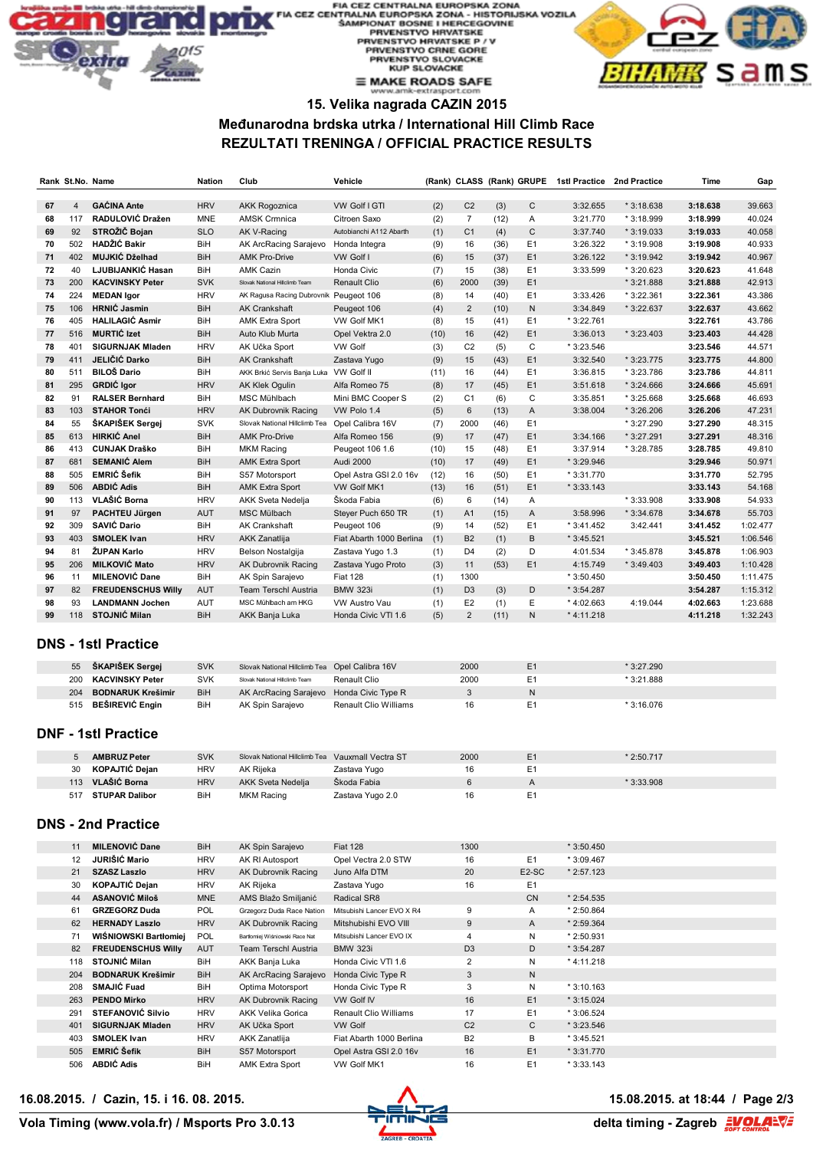# FIA CEZ CENTRALNA EUROPSKA ZONA<br>FIA CEZ CENTRALNA EUROPSKA ZONA - HISTORIJSKA VOZILA<br>SAMPIONAT BOSNE I HERCEGOVINE<br>PRVENSTVO HRVATSKE PRVENSTVO HRVATSKE P/V<br>PRVENSTVO CRNE GORE<br>PRVENSTVO SLOVACKE **KUP SLOVACKE**  $\equiv$  MAKE ROADS SAFE



### **15. Velika nagrada CAZIN 2015**

#### **Međunarodna brdska utrka / International Hill Climb Race REZULTATI TRENINGA / OFFICIAL PRACTICE RESULTS**

|          |                | Rank St.No. Name                                     | <b>Nation</b>            | Club                                             | Vehicle                               |             |                      |             |                      | (Rank) CLASS (Rank) GRUPE 1stl Practice 2nd Practice |             | Time                 | Gap                  |
|----------|----------------|------------------------------------------------------|--------------------------|--------------------------------------------------|---------------------------------------|-------------|----------------------|-------------|----------------------|------------------------------------------------------|-------------|----------------------|----------------------|
| 67       | $\overline{4}$ | <b>GACINA Ante</b>                                   | <b>HRV</b>               | <b>AKK Rogoznica</b>                             | VW Golf I GTI                         | (2)         | C <sub>2</sub>       | (3)         | С                    | 3:32.655                                             | $*3:18.638$ | 3:18.638             | 39.663               |
| 68       | 117            | RADULOVIĆ Dražen                                     | MNE                      | <b>AMSK Crmnica</b>                              | Citroen Saxo                          | (2)         | $\overline{7}$       | (12)        | Α                    | 3:21.770                                             | * 3:18.999  | 3:18.999             | 40.024               |
| 69       | 92             | STROŽIĆ Bojan                                        | <b>SLO</b>               | AK V-Racing                                      | Autobianchi A112 Abarth               | (1)         | C <sub>1</sub>       | (4)         | С                    | 3:37.740                                             | $*3:19.033$ | 3:19.033             | 40.058               |
| 70       | 502            | HADŽIĆ Bakir                                         | BiH                      | AK ArcRacing Sarajevo                            | Honda Integra                         | (9)         | 16                   | (36)        | E1                   | 3:26.322                                             | * 3:19.908  | 3:19.908             | 40.933               |
| 71       | 402            | MUJKIĆ Dželhad                                       | BiH                      | <b>AMK Pro-Drive</b>                             | VW Golf I                             | (6)         | 15                   | (37)        | E <sub>1</sub>       | 3:26.122                                             | * 3:19.942  | 3:19.942             | 40.967               |
| 72       | 40             | LJUBIJANKIĆ Hasan                                    | BiH                      | <b>AMK Cazin</b>                                 | Honda Civic                           | (7)         | 15                   | (38)        | E1                   | 3:33.599                                             | * 3:20.623  | 3:20.623             | 41.648               |
| 73       | 200            | <b>KACVINSKY Peter</b>                               | <b>SVK</b>               | Slovak National Hillclimb Team                   | <b>Renault Clio</b>                   | (6)         | 2000                 | (39)        | E1                   |                                                      | * 3:21.888  | 3:21.888             | 42.913               |
| 74       | 224            | <b>MEDAN Igor</b>                                    | <b>HRV</b>               | AK Ragusa Racing Dubrovnik Peugeot 106           |                                       | (8)         | 14                   | (40)        | E1                   | 3:33.426                                             | * 3:22.361  | 3:22.361             | 43.386               |
| 75       | 106            | <b>HRNIC Jasmin</b>                                  | <b>BiH</b>               | <b>AK Crankshaft</b>                             | Peugeot 106                           | (4)         | $\overline{c}$       | (10)        | N                    | 3:34.849                                             | * 3:22.637  | 3:22.637             | 43.662               |
| 76<br>77 | 405<br>516     | <b>HALILAGIĆ Asmir</b><br><b>MURTIC Izet</b>         | BiH                      | <b>AMK Extra Sport</b>                           | VW Golf MK1                           | (8)         | 15                   | (41)        | E1<br>E <sub>1</sub> | * 3:22.761                                           | $*3:23.403$ | 3:22.761             | 43.786               |
| 78       | 401            | <b>SIGURNJAK Mladen</b>                              | <b>BiH</b><br><b>HRV</b> | Auto Klub Murta<br>AK Učka Sport                 | Opel Vektra 2.0<br><b>VW Golf</b>     | (10)<br>(3) | 16<br>C <sub>2</sub> | (42)<br>(5) | C                    | 3:36.013<br>* 3:23.546                               |             | 3:23.403<br>3:23.546 | 44.428<br>44.571     |
| 79       | 411            | JELIČIĆ Darko                                        | BiH                      | <b>AK Crankshaft</b>                             | Zastava Yugo                          | (9)         | 15                   | (43)        | E <sub>1</sub>       | 3:32.540                                             | * 3:23.775  | 3:23.775             | 44.800               |
| 80       | 511            | <b>BILOŠ Dario</b>                                   | BiH                      | AKK Brkić Servis Banja Luka                      | VW Golf II                            | (11)        | 16                   | (44)        | E <sub>1</sub>       | 3:36.815                                             | * 3:23.786  | 3:23.786             | 44.811               |
| 81       | 295            | <b>GRDIC</b> Igor                                    | <b>HRV</b>               | AK Klek Ogulin                                   | Alfa Romeo 75                         | (8)         | 17                   | (45)        | E1                   | 3:51.618                                             | $*3:24.666$ | 3:24.666             | 45.691               |
| 82       | 91             | <b>RALSER Bernhard</b>                               | BiH                      | MSC Mühlbach                                     | Mini BMC Cooper S                     | (2)         | C <sub>1</sub>       | (6)         | С                    | 3:35.851                                             | * 3:25.668  | 3:25.668             | 46.693               |
| 83       | 103            | <b>STAHOR Tonći</b>                                  | <b>HRV</b>               | <b>AK Dubrovnik Racing</b>                       | VW Polo 1.4                           | (5)         | 6                    | (13)        | A                    | 3:38.004                                             | * 3:26.206  | 3:26.206             | 47.231               |
| 84       | 55             | ŠKAPIŠEK Sergej                                      | <b>SVK</b>               | Slovak National Hillclimb Tea                    | Opel Calibra 16V                      | (7)         | 2000                 | (46)        | E1                   |                                                      | * 3:27.290  | 3:27.290             | 48.315               |
| 85       | 613            | <b>HIRKIĆ Anel</b>                                   | <b>BiH</b>               | <b>AMK Pro-Drive</b>                             | Alfa Romeo 156                        | (9)         | 17                   | (47)        | E1                   | 3:34.166                                             | * 3:27.291  | 3:27.291             | 48.316               |
| 86       | 413            | <b>CUNJAK Draško</b>                                 | BiH                      | <b>MKM Racing</b>                                | Peugeot 106 1.6                       | (10)        | 15                   | (48)        | E1                   | 3:37.914                                             | * 3:28.785  | 3:28.785             | 49.810               |
| 87       | 681            | <b>SEMANIĆ Alem</b>                                  | <b>BiH</b>               | <b>AMK Extra Sport</b>                           | <b>Audi 2000</b>                      | (10)        | 17                   | (49)        | E <sub>1</sub>       | * 3:29.946                                           |             | 3:29.946             | 50.971               |
| 88       | 505            | <b>EMRIĆ Šefik</b>                                   | BiH                      | S57 Motorsport                                   | Opel Astra GSI 2.0 16v                | (12)        | 16                   | (50)        | E1                   | * 3:31.770                                           |             | 3:31.770             | 52.795               |
| 89       | 506            | <b>ABDIĆ Adis</b>                                    | <b>BiH</b>               | <b>AMK Extra Sport</b>                           | VW Golf MK1                           | (13)        | 16                   | (51)        | E <sub>1</sub>       | $*3:33.143$                                          |             | 3:33.143             | 54.168               |
| 90       | 113            | VLAŠIĆ Borna                                         | <b>HRV</b>               | <b>AKK Sveta Nedelja</b>                         | Škoda Fabia                           | (6)         | 6                    | (14)        | Α                    |                                                      | * 3:33.908  | 3:33.908             | 54.933               |
| 91       | 97             | PACHTEU Jürgen                                       | <b>AUT</b>               | MSC Mülbach                                      | Steyer Puch 650 TR                    | (1)         | A1                   | (15)        | Α                    | 3:58.996                                             | $*3:34.678$ | 3:34.678             | 55.703               |
| 92       | 309            | SAVIĆ Dario                                          | BiH                      | <b>AK Crankshaft</b>                             | Peugeot 106                           | (9)         | 14                   | (52)        | E1                   | $*3:41.452$                                          | 3:42.441    | 3:41.452             | 1:02.477             |
| 93       | 403            | <b>SMOLEK Ivan</b>                                   | <b>HRV</b>               | <b>AKK Zanatlija</b>                             | Fiat Abarth 1000 Berlina              | (1)         | B <sub>2</sub>       | (1)         | B                    | $*3:45.521$                                          |             | 3:45.521             | 1:06.546             |
| 94<br>95 | 81<br>206      | ŽUPAN Karlo<br><b>MILKOVIĆ Mato</b>                  | <b>HRV</b><br><b>HRV</b> | Belson Nostalgija                                | Zastava Yugo 1.3                      | (1)         | D <sub>4</sub>       | (2)         | D<br>E <sub>1</sub>  | 4:01.534                                             | * 3:45.878  | 3:45.878             | 1:06.903             |
| 96       | 11             | <b>MILENOVIĆ Dane</b>                                | BiH                      | AK Dubrovnik Racing<br>AK Spin Sarajevo          | Zastava Yugo Proto<br><b>Fiat 128</b> | (3)<br>(1)  | 11<br>1300           | (53)        |                      | 4:15.749<br>$*3:50.450$                              | * 3:49.403  | 3:49.403<br>3:50.450 | 1:10.428<br>1:11.475 |
| 97       | 82             | <b>FREUDENSCHUS Willy</b>                            | <b>AUT</b>               | <b>Team Terschl Austria</b>                      | <b>BMW 323i</b>                       | (1)         | D <sub>3</sub>       | (3)         | D                    | * 3:54.287                                           |             | 3:54.287             | 1:15.312             |
| 98       | 93             | <b>LANDMANN Jochen</b>                               | AUT                      | MSC Mühlbach am HKG                              | VW Austro Vau                         | (1)         | E <sub>2</sub>       | (1)         | Ε                    | * 4:02.663                                           | 4:19.044    | 4:02.663             | 1:23.688             |
| 99       |                | 118 STOJNIĆ Milan                                    | <b>BiH</b>               | AKK Banja Luka                                   | Honda Civic VTI 1.6                   | (5)         | 2                    | (11)        | N                    | $*4:11.218$                                          |             | 4:11.218             | 1:32.243             |
|          |                | <b>DNS - 1stl Practice</b>                           |                          |                                                  |                                       |             |                      |             |                      |                                                      |             |                      |                      |
|          | 55             | <b>ŠKAPIŠEK Sergej</b>                               | <b>SVK</b>               | Slovak National Hillclimb Tea Opel Calibra 16V   |                                       |             | 2000                 |             | E <sub>1</sub>       |                                                      | * 3:27.290  |                      |                      |
|          | 200            | <b>KACVINSKY Peter</b>                               | SVK                      | Slovak National Hillclimb Team                   | Renault Clio                          |             | 2000                 |             | E <sub>1</sub>       |                                                      | * 3:21.888  |                      |                      |
|          | 204            | <b>BODNARUK Krešimir</b>                             | <b>BiH</b>               | AK ArcRacing Sarajevo                            | Honda Civic Type R                    |             | 3                    |             | $\sf N$              |                                                      |             |                      |                      |
|          | 515            | <b>BESIREVIĆ Engin</b><br><b>DNF - 1stl Practice</b> | BiH                      | AK Spin Sarajevo                                 | Renault Clio Williams                 |             | 16                   |             | E <sub>1</sub>       |                                                      | * 3:16.076  |                      |                      |
|          |                |                                                      |                          |                                                  |                                       |             |                      |             |                      |                                                      |             |                      |                      |
|          |                | <b>AMBRUZ Peter</b>                                  | <b>SVK</b>               | Slovak National Hillclimb Tea Vauxmall Vectra ST |                                       |             | 2000                 |             | E1                   |                                                      | * 2:50.717  |                      |                      |
|          | 30             | <b>KOPAJTIĆ Dejan</b>                                | <b>HRV</b>               | AK Rijeka                                        | Zastava Yugo                          |             | 16                   |             | E <sub>1</sub>       |                                                      |             |                      |                      |
|          | 113            | VLAŠIĆ Borna                                         | <b>HRV</b>               | AKK Sveta Nedelja                                | Škoda Fabia                           |             | 6                    |             | Α                    |                                                      | * 3:33.908  |                      |                      |
|          |                | 517 STUPAR Dalibor<br><b>DNS - 2nd Practice</b>      | BiH                      | <b>MKM Racing</b>                                | Zastava Yugo 2.0                      |             | 16                   |             | E1                   |                                                      |             |                      |                      |
|          |                |                                                      |                          |                                                  |                                       |             |                      |             |                      |                                                      |             |                      |                      |
|          | 11             | <b>MILENOVIĆ Dane</b>                                | BiH                      | AK Spin Sarajevo                                 | <b>Fiat 128</b>                       |             | 1300                 |             |                      | * 3:50.450                                           |             |                      |                      |
|          | 12             | JURIŠIĆ Mario                                        | <b>HRV</b>               | AK RI Autosport                                  | Opel Vectra 2.0 STW                   |             | 16                   |             | E1                   | * 3:09.467                                           |             |                      |                      |
|          | 21             | <b>SZASZ Laszlo</b>                                  | <b>HRV</b>               | AK Dubrovnik Racing<br>AK Rijeka                 | Juno Alfa DTM                         |             | 20                   |             | E2-SC                | $*2:57.123$                                          |             |                      |                      |
|          | 30<br>44       | KOPAJTIĆ Dejan<br><b>ASANOVIĆ Miloš</b>              | <b>HRV</b><br><b>MNE</b> | AMS Blažo Smiljanić                              | Zastava Yugo<br>Radical SR8           |             | 16                   |             | E1<br>CN             | $*2:54.535$                                          |             |                      |                      |
|          | 61             | <b>GRZEGORZ Duda</b>                                 | POL                      | Grzegorz Duda Race Nation                        | Mitsubishi Lancer EVO X R4            |             | 9                    |             | Α                    | * 2:50.864                                           |             |                      |                      |
|          | 62             | <b>HERNADY Laszlo</b>                                | <b>HRV</b>               | AK Dubrovnik Racing                              | Mitshubishi EVO VIII                  |             | 9                    |             | Α                    | $*2:59.364$                                          |             |                      |                      |
|          | 71             | WIŚNIOWSKI Bartłomiej                                | POL                      | Bartłomiej Wiśniowski Race Nat                   | Mitsubishi Lancer EVO IX              |             | 4                    |             | Ν                    | * 2:50.931                                           |             |                      |                      |
|          | 82             | <b>FREUDENSCHUS Willy</b>                            | AUT                      | Team Terschl Austria                             | <b>BMW 323i</b>                       |             | D <sub>3</sub>       |             | D                    | $*3:54.287$                                          |             |                      |                      |
|          | 118            | <b>STOJNIĆ Milan</b>                                 | BiH                      | AKK Banja Luka                                   | Honda Civic VTI 1.6                   |             | 2                    |             | Ν                    | $*4:11.218$                                          |             |                      |                      |
|          | 204            | <b>BODNARUK Krešimir</b>                             | <b>BiH</b>               | AK ArcRacing Sarajevo                            | Honda Civic Type R                    |             | 3                    |             | N                    |                                                      |             |                      |                      |
|          | 208            | <b>SMAJIĆ Fuad</b>                                   | BiH                      | Optima Motorsport                                | Honda Civic Type R                    |             | 3                    |             | Ν                    | $*3:10.163$                                          |             |                      |                      |
|          | 263            | <b>PENDO Mirko</b>                                   | <b>HRV</b>               | AK Dubrovnik Racing                              | VW Golf IV                            |             | 16                   |             | E <sub>1</sub>       | $*3:15.024$                                          |             |                      |                      |
|          | 291            | <b>STEFANOVIĆ Silvio</b>                             | <b>HRV</b>               | AKK Velika Gorica                                | Renault Clio Williams                 |             | 17                   |             | E <sub>1</sub>       | * 3:06.524                                           |             |                      |                      |
|          | 401            | <b>SIGURNJAK Mladen</b>                              | <b>HRV</b>               | AK Učka Sport                                    | <b>VW Golf</b>                        |             | C <sub>2</sub>       |             | С                    | $*3:23.546$                                          |             |                      |                      |
|          | 403            | <b>SMOLEK Ivan</b>                                   | <b>HRV</b>               | AKK Zanatlija                                    | Fiat Abarth 1000 Berlina              |             | B2                   |             | В                    | $*3:45.521$                                          |             |                      |                      |

**16.08.2015. / Cazin, 15. i 16. 08. 2015. 15.08.2015. at 18:44 / Page 2/3**



 **EMRIĆ Šefik** BiH S57 Motorsport Opel Astra GSI 2.0 16v 16 E1 \* 3:31.770 **ABDIĆ Adis BiH** AMK Extra Sport VW Golf MK1 16 E1 \* 3:33.143

delta timing - Zagreb **EVOLAEVE**